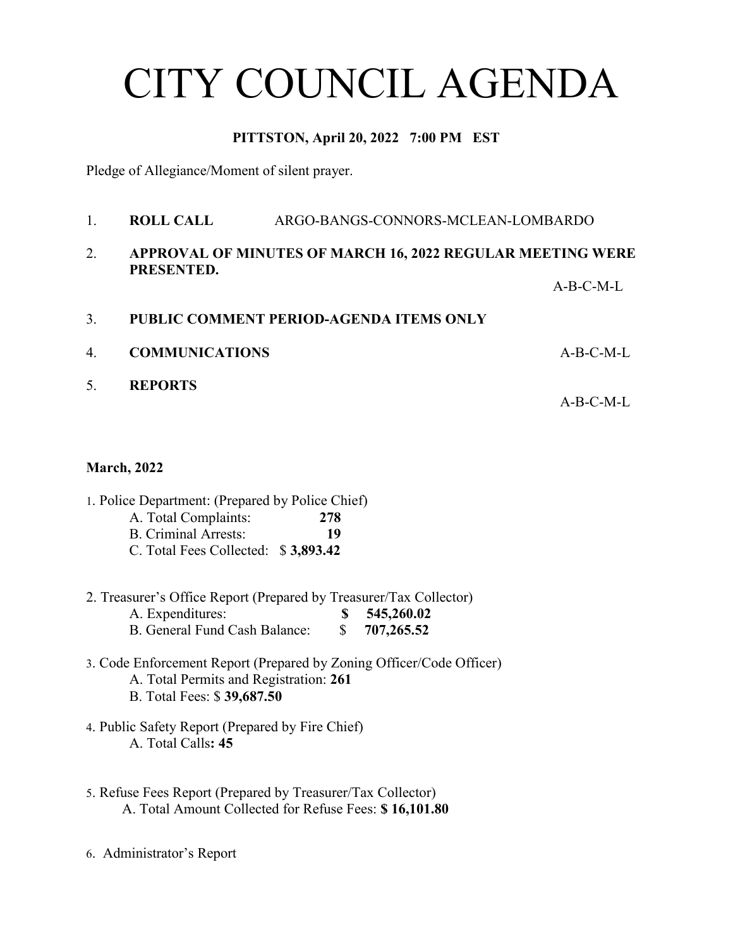# CITY COUNCIL AGENDA

### **PITTSTON, April 20, 2022 7:00 PM EST**

Pledge of Allegiance/Moment of silent prayer.

1. **ROLL CALL** ARGO-BANGS-CONNORS-MCLEAN-LOMBARDO 2. **APPROVAL OF MINUTES OF MARCH 16, 2022 REGULAR MEETING WERE PRESENTED.** A-B-C-M-L 3. **PUBLIC COMMENT PERIOD-AGENDA ITEMS ONLY** 4. **COMMUNICATIONS** A-B-C-M-L 5. **REPORTS**

 $A-B-C-M-I$ 

#### **March, 2022**

- 1. Police Department: (Prepared by Police Chief)
	- A. Total Complaints: **278**
	- B. Criminal Arrests: **19**
	- C. Total Fees Collected: \$ **3,893.42**
- 2. Treasurer's Office Report (Prepared by Treasurer/Tax Collector) A. Expenditures: **\$ 545,260.02** B. General Fund Cash Balance: \$ **707,265.52**
- 3. Code Enforcement Report (Prepared by Zoning Officer/Code Officer) A. Total Permits and Registration: **261** B. Total Fees: \$ **39,687.50**
- 4. Public Safety Report (Prepared by Fire Chief) A. Total Calls**: 45**
- 5. Refuse Fees Report (Prepared by Treasurer/Tax Collector) A. Total Amount Collected for Refuse Fees: **\$ 16,101.80**
- 6. Administrator's Report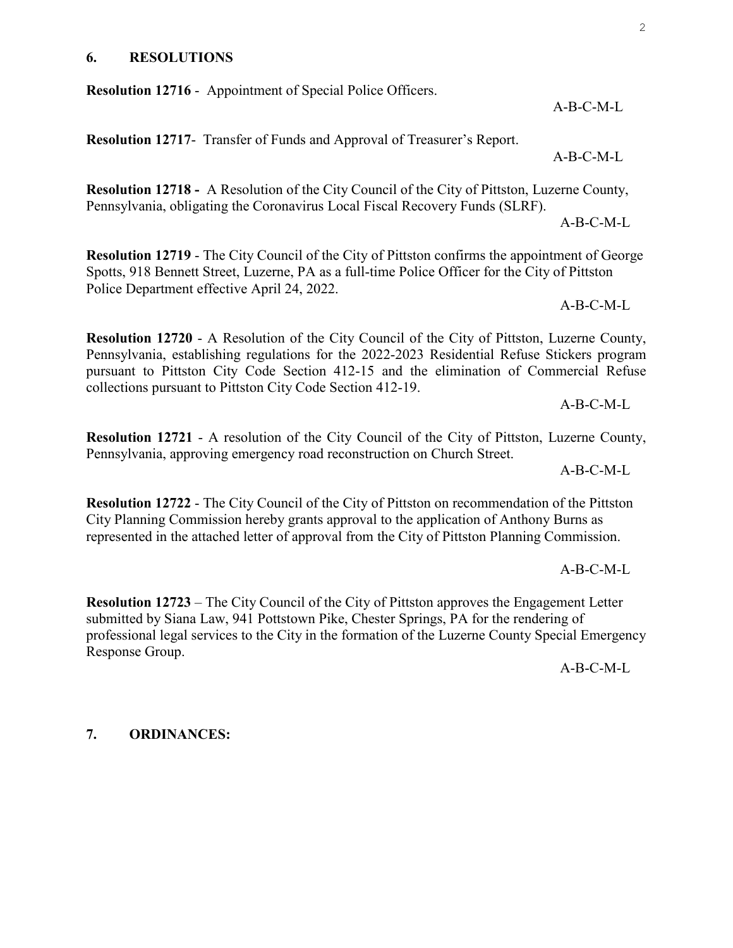#### **6. RESOLUTIONS**

**Resolution 12716** - Appointment of Special Police Officers.

**Resolution 12717**- Transfer of Funds and Approval of Treasurer's Report.

**Resolution 12718 -** A Resolution of the City Council of the City of Pittston, Luzerne County, Pennsylvania, obligating the Coronavirus Local Fiscal Recovery Funds (SLRF).

**Resolution 12719** - The City Council of the City of Pittston confirms the appointment of George Spotts, 918 Bennett Street, Luzerne, PA as a full-time Police Officer for the City of Pittston Police Department effective April 24, 2022.

**Resolution 12720** - A Resolution of the City Council of the City of Pittston, Luzerne County, Pennsylvania, establishing regulations for the 2022-2023 Residential Refuse Stickers program pursuant to Pittston City Code Section 412-15 and the elimination of Commercial Refuse collections pursuant to Pittston City Code Section 412-19.

**Resolution 12721** - A resolution of the City Council of the City of Pittston, Luzerne County, Pennsylvania, approving emergency road reconstruction on Church Street.

**Resolution 12722** - The City Council of the City of Pittston on recommendation of the Pittston City Planning Commission hereby grants approval to the application of Anthony Burns as represented in the attached letter of approval from the City of Pittston Planning Commission.

**Resolution 12723** – The City Council of the City of Pittston approves the Engagement Letter submitted by Siana Law, 941 Pottstown Pike, Chester Springs, PA for the rendering of professional legal services to the City in the formation of the Luzerne County Special Emergency Response Group.

A-B-C-M-L

**7. ORDINANCES:**

A-B-C-M-L

A-B-C-M-L

A-B-C-M-L

A-B-C-M-L

 $A-B-C-M-I$ 

 $A-B-C-M-I$ .

A-B-C-M-L